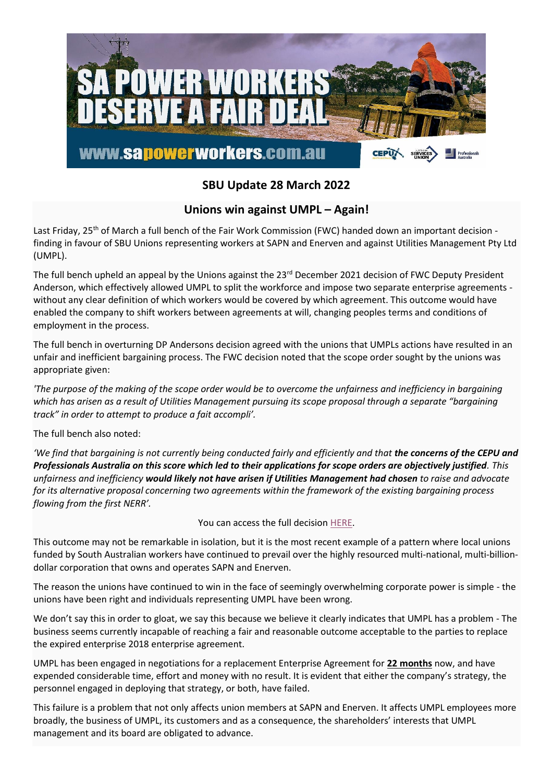

## **SBU Update 28 March 2022**

## **Unions win against UMPL – Again!**

Last Friday, 25<sup>th</sup> of March a full bench of the Fair Work Commission (FWC) handed down an important decision finding in favour of SBU Unions representing workers at SAPN and Enerven and against Utilities Management Pty Ltd (UMPL).

The full bench upheld an appeal by the Unions against the 23<sup>rd</sup> December 2021 decision of FWC Deputy President Anderson, which effectively allowed UMPL to split the workforce and impose two separate enterprise agreements without any clear definition of which workers would be covered by which agreement. This outcome would have enabled the company to shift workers between agreements at will, changing peoples terms and conditions of employment in the process.

The full bench in overturning DP Andersons decision agreed with the unions that UMPLs actions have resulted in an unfair and inefficient bargaining process. The FWC decision noted that the scope order sought by the unions was appropriate given:

*'The purpose of the making of the scope order would be to overcome the unfairness and inefficiency in bargaining which has arisen as a result of Utilities Management pursuing its scope proposal through a separate "bargaining track" in order to attempt to produce a fait accompli'.*

The full bench also noted:

*'We find that bargaining is not currently being conducted fairly and efficiently and that the concerns of the CEPU and Professionals Australia on this score which led to their applications for scope orders are objectively justified. This unfairness and inefficiency would likely not have arisen if Utilities Management had chosen to raise and advocate for its alternative proposal concerning two agreements within the framework of the existing bargaining process flowing from the first NERR'.*

You can access the full decision [HERE.](https://www.sapowerworkers.com.au/wp-content/uploads/2022/03/UMPL-Scope-Full-Bench-Decision.pdf)

This outcome may not be remarkable in isolation, but it is the most recent example of a pattern where local unions funded by South Australian workers have continued to prevail over the highly resourced multi-national, multi-billiondollar corporation that owns and operates SAPN and Enerven.

The reason the unions have continued to win in the face of seemingly overwhelming corporate power is simple - the unions have been right and individuals representing UMPL have been wrong.

We don't say this in order to gloat, we say this because we believe it clearly indicates that UMPL has a problem - The business seems currently incapable of reaching a fair and reasonable outcome acceptable to the parties to replace the expired enterprise 2018 enterprise agreement.

UMPL has been engaged in negotiations for a replacement Enterprise Agreement for **22 months** now, and have expended considerable time, effort and money with no result. It is evident that either the company's strategy, the personnel engaged in deploying that strategy, or both, have failed.

This failure is a problem that not only affects union members at SAPN and Enerven. It affects UMPL employees more broadly, the business of UMPL, its customers and as a consequence, the shareholders' interests that UMPL management and its board are obligated to advance.